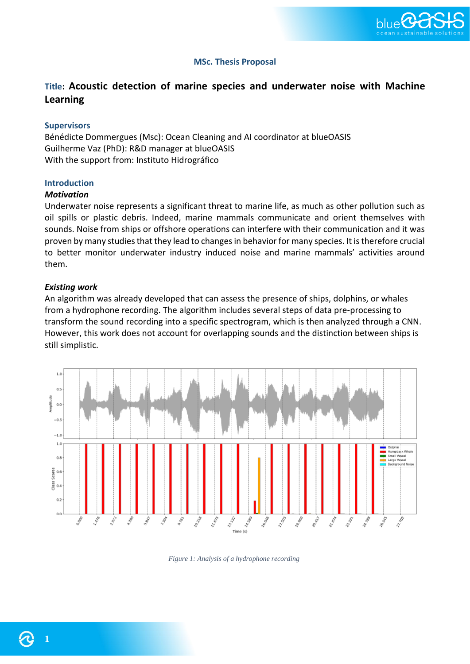

# **MSc. Thesis Proposal**

# **Title: Acoustic detection of marine species and underwater noise with Machine Learning**

#### **Supervisors**

Bénédicte Dommergues (Msc): Ocean Cleaning and AI coordinator at blueOASIS Guilherme Vaz (PhD): R&D manager at blueOASIS With the support from: Instituto Hidrográfico

#### **Introduction**

#### *Motivation*

Underwater noise represents a significant threat to marine life, as much as other pollution such as oil spills or plastic debris. Indeed, marine mammals communicate and orient themselves with sounds. Noise from ships or offshore operations can interfere with their communication and it was proven by many studies that they lead to changes in behavior for many species. It is therefore crucial to better monitor underwater industry induced noise and marine mammals' activities around them.

#### *Existing work*

An algorithm was already developed that can assess the presence of ships, dolphins, or whales from a hydrophone recording. The algorithm includes several steps of data pre-processing to transform the sound recording into a specific spectrogram, which is then analyzed through a CNN. However, this work does not account for overlapping sounds and the distinction between ships is still simplistic.



*Figure 1: Analysis of a hydrophone recording*

**1**